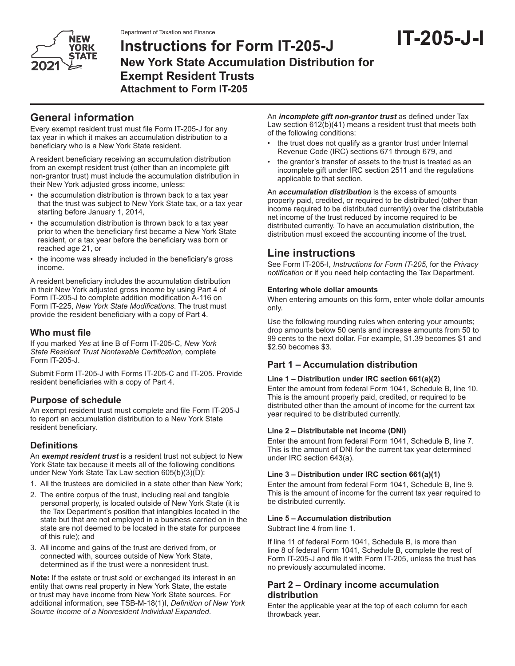

# **IT-205-J-I** Department of Taxation and Finance **Instructions for Form IT-205-J New York State Accumulation Distribution for Exempt Resident Trusts Attachment to Form IT-205**

## **General information**

Every exempt resident trust must file Form IT-205-J for any tax year in which it makes an accumulation distribution to a beneficiary who is a New York State resident.

A resident beneficiary receiving an accumulation distribution from an exempt resident trust (other than an incomplete gift non-grantor trust) must include the accumulation distribution in their New York adjusted gross income, unless:

- the accumulation distribution is thrown back to a tax year that the trust was subject to New York State tax, or a tax year starting before January 1, 2014,
- the accumulation distribution is thrown back to a tax year prior to when the beneficiary first became a New York State resident, or a tax year before the beneficiary was born or reached age 21, or
- the income was already included in the beneficiary's gross income.

A resident beneficiary includes the accumulation distribution in their New York adjusted gross income by using Part 4 of Form IT-205-J to complete addition modification A-116 on Form IT-225, *New York State Modifications*. The trust must provide the resident beneficiary with a copy of Part 4.

## **Who must file**

If you marked *Yes* at line B of Form IT-205-C, *New York State Resident Trust Nontaxable Certification,* complete Form IT-205-J.

Submit Form IT-205-J with Forms IT-205-C and IT-205. Provide resident beneficiaries with a copy of Part 4.

## **Purpose of schedule**

An exempt resident trust must complete and file Form IT-205-J to report an accumulation distribution to a New York State resident beneficiary.

## **Definitions**

An *exempt resident trust* is a resident trust not subject to New York State tax because it meets all of the following conditions under New York State Tax Law section 605(b)(3)(D):

- 1. All the trustees are domiciled in a state other than New York;
- 2. The entire corpus of the trust, including real and tangible personal property, is located outside of New York State (it is the Tax Department's position that intangibles located in the state but that are not employed in a business carried on in the state are not deemed to be located in the state for purposes of this rule); and
- 3. All income and gains of the trust are derived from, or connected with, sources outside of New York State, determined as if the trust were a nonresident trust.

**Note:** If the estate or trust sold or exchanged its interest in an entity that owns real property in New York State, the estate or trust may have income from New York State sources. For additional information, see TSB-M-18(1)I, *Definition of New York Source Income of a Nonresident Individual Expanded*.

An *incomplete gift non-grantor trust* as defined under Tax Law section  $612(b)(41)$  means a resident trust that meets both of the following conditions:

- the trust does not qualify as a grantor trust under Internal Revenue Code (IRC) sections 671 through 679, and
- the grantor's transfer of assets to the trust is treated as an incomplete gift under IRC section 2511 and the regulations applicable to that section.

An *accumulation distribution* is the excess of amounts properly paid, credited, or required to be distributed (other than income required to be distributed currently) over the distributable net income of the trust reduced by income required to be distributed currently. To have an accumulation distribution, the distribution must exceed the accounting income of the trust.

## **Line instructions**

See Form IT-205-I, *Instructions for Form IT-205*, for the *Privacy notification* or if you need help contacting the Tax Department.

## **Entering whole dollar amounts**

When entering amounts on this form, enter whole dollar amounts only.

Use the following rounding rules when entering your amounts; drop amounts below 50 cents and increase amounts from 50 to 99 cents to the next dollar. For example, \$1.39 becomes \$1 and \$2.50 becomes \$3.

## **Part 1 – Accumulation distribution**

## **Line 1 – Distribution under IRC section 661(a)(2)**

Enter the amount from federal Form 1041, Schedule B, line 10. This is the amount properly paid, credited, or required to be distributed other than the amount of income for the current tax year required to be distributed currently.

## **Line 2 – Distributable net income (DNI)**

Enter the amount from federal Form 1041, Schedule B, line 7. This is the amount of DNI for the current tax year determined under IRC section 643(a).

## **Line 3 – Distribution under IRC section 661(a)(1)**

Enter the amount from federal Form 1041, Schedule B, line 9. This is the amount of income for the current tax year required to be distributed currently.

## **Line 5 – Accumulation distribution**

Subtract line 4 from line 1.

If line 11 of federal Form 1041, Schedule B, is more than line 8 of federal Form 1041, Schedule B, complete the rest of Form IT-205-J and file it with Form IT-205, unless the trust has no previously accumulated income.

## **Part 2 – Ordinary income accumulation distribution**

Enter the applicable year at the top of each column for each throwback year.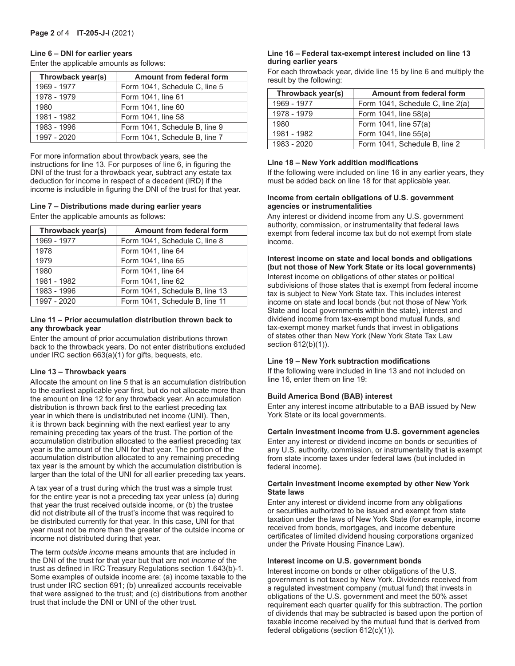#### **Line 6 – DNI for earlier years**

Enter the applicable amounts as follows:

| Throwback year(s) | Amount from federal form      |
|-------------------|-------------------------------|
| 1969 - 1977       | Form 1041, Schedule C, line 5 |
| 1978 - 1979       | Form 1041, line 61            |
| 1980              | Form 1041, line 60            |
| 1981 - 1982       | Form 1041, line 58            |
| 1983 - 1996       | Form 1041, Schedule B, line 9 |
| 1997 - 2020       | Form 1041, Schedule B, line 7 |

For more information about throwback years, see the instructions for line 13. For purposes of line 6, in figuring the DNI of the trust for a throwback year, subtract any estate tax deduction for income in respect of a decedent (IRD) if the income is includible in figuring the DNI of the trust for that year.

#### **Line 7 – Distributions made during earlier years**

Enter the applicable amounts as follows:

| Throwback year(s) | Amount from federal form       |
|-------------------|--------------------------------|
| 1969 - 1977       | Form 1041, Schedule C, line 8  |
| 1978              | Form 1041, line 64             |
| 1979              | Form 1041, line 65             |
| 1980              | Form 1041, line 64             |
| 1981 - 1982       | Form 1041, line 62             |
| 1983 - 1996       | Form 1041, Schedule B, line 13 |
| 1997 - 2020       | Form 1041, Schedule B, line 11 |

#### **Line 11 – Prior accumulation distribution thrown back to any throwback year**

Enter the amount of prior accumulation distributions thrown back to the throwback years. Do not enter distributions excluded under IRC section 663(a)(1) for gifts, bequests, etc.

#### **Line 13 – Throwback years**

Allocate the amount on line 5 that is an accumulation distribution to the earliest applicable year first, but do not allocate more than the amount on line 12 for any throwback year. An accumulation distribution is thrown back first to the earliest preceding tax year in which there is undistributed net income (UNI). Then, it is thrown back beginning with the next earliest year to any remaining preceding tax years of the trust. The portion of the accumulation distribution allocated to the earliest preceding tax year is the amount of the UNI for that year. The portion of the accumulation distribution allocated to any remaining preceding tax year is the amount by which the accumulation distribution is larger than the total of the UNI for all earlier preceding tax years.

A tax year of a trust during which the trust was a simple trust for the entire year is not a preceding tax year unless (a) during that year the trust received outside income, or (b) the trustee did not distribute all of the trust's income that was required to be distributed currently for that year. In this case, UNI for that year must not be more than the greater of the outside income or income not distributed during that year.

The term *outside income* means amounts that are included in the DNI of the trust for that year but that are not *income* of the trust as defined in IRC Treasury Regulations section 1.643(b)-1. Some examples of outside income are: (a) income taxable to the trust under IRC section 691; (b) unrealized accounts receivable that were assigned to the trust; and (c) distributions from another trust that include the DNI or UNI of the other trust.

#### **Line 16 – Federal tax-exempt interest included on line 13 during earlier years**

For each throwback year, divide line 15 by line 6 and multiply the result by the following:

| Throwback year(s) | Amount from federal form         |
|-------------------|----------------------------------|
| 1969 - 1977       | Form 1041, Schedule C, line 2(a) |
| 1978 - 1979       | Form 1041, line 58(a)            |
| 1980              | Form 1041, line 57(a)            |
| 1981 - 1982       | Form 1041, line 55(a)            |
| 1983 - 2020       | Form 1041, Schedule B, line 2    |

#### **Line 18 – New York addition modifications**

If the following were included on line 16 in any earlier years, they must be added back on line 18 for that applicable year.

#### **Income from certain obligations of U.S. government agencies or instrumentalities**

Any interest or dividend income from any U.S. government authority, commission, or instrumentality that federal laws exempt from federal income tax but do not exempt from state income.

#### **Interest income on state and local bonds and obligations (but not those of New York State or its local governments)**

Interest income on obligations of other states or political subdivisions of those states that is exempt from federal income tax is subject to New York State tax. This includes interest income on state and local bonds (but not those of New York State and local governments within the state), interest and dividend income from tax-exempt bond mutual funds, and tax-exempt money market funds that invest in obligations of states other than New York (New York State Tax Law section 612(b)(1)).

#### **Line 19 – New York subtraction modifications**

If the following were included in line 13 and not included on line 16, enter them on line 19:

#### **Build America Bond (BAB) interest**

Enter any interest income attributable to a BAB issued by New York State or its local governments.

#### **Certain investment income from U.S. government agencies**

Enter any interest or dividend income on bonds or securities of any U.S. authority, commission, or instrumentality that is exempt from state income taxes under federal laws (but included in federal income).

#### **Certain investment income exempted by other New York State laws**

Enter any interest or dividend income from any obligations or securities authorized to be issued and exempt from state taxation under the laws of New York State (for example, income received from bonds, mortgages, and income debenture certificates of limited dividend housing corporations organized under the Private Housing Finance Law).

#### **Interest income on U.S. government bonds**

Interest income on bonds or other obligations of the U.S. government is not taxed by New York. Dividends received from a regulated investment company (mutual fund) that invests in obligations of the U.S. government and meet the 50% asset requirement each quarter qualify for this subtraction. The portion of dividends that may be subtracted is based upon the portion of taxable income received by the mutual fund that is derived from federal obligations (section 612(c)(1)).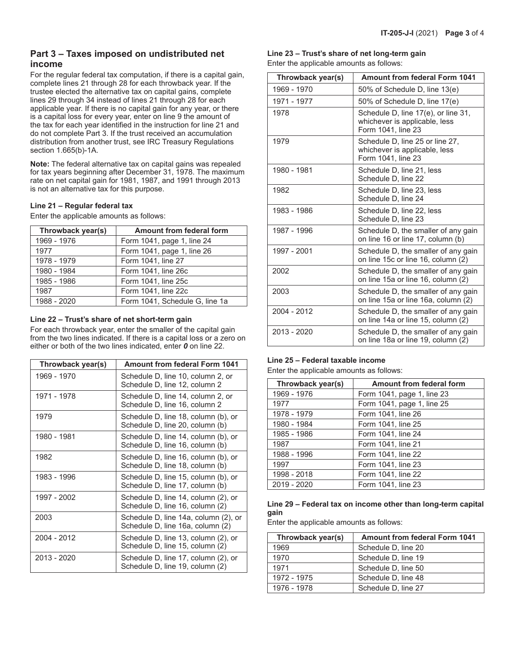## **Part 3 – Taxes imposed on undistributed net income**

For the regular federal tax computation, if there is a capital gain, complete lines 21 through 28 for each throwback year. If the trustee elected the alternative tax on capital gains, complete lines 29 through 34 instead of lines 21 through 28 for each applicable year. If there is no capital gain for any year, or there is a capital loss for every year, enter on line 9 the amount of the tax for each year identified in the instruction for line 21 and do not complete Part 3. If the trust received an accumulation distribution from another trust, see IRC Treasury Regulations section 1.665(b)-1A.

**Note:** The federal alternative tax on capital gains was repealed for tax years beginning after December 31, 1978. The maximum rate on net capital gain for 1981, 1987, and 1991 through 2013 is not an alternative tax for this purpose.

## **Line 21 – Regular federal tax**

Enter the applicable amounts as follows:

| Throwback year(s) | Amount from federal form       |
|-------------------|--------------------------------|
| 1969 - 1976       | Form 1041, page 1, line 24     |
| 1977              | Form 1041, page 1, line 26     |
| 1978 - 1979       | Form 1041, line 27             |
| 1980 - 1984       | Form 1041, line 26c            |
| 1985 - 1986       | Form 1041, line 25c            |
| 1987              | Form 1041, line 22c            |
| 1988 - 2020       | Form 1041, Schedule G, line 1a |

#### **Line 22 – Trust's share of net short-term gain**

For each throwback year, enter the smaller of the capital gain from the two lines indicated. If there is a capital loss or a zero on either or both of the two lines indicated, enter *0* on line 22.

| Throwback year(s) | <b>Amount from federal Form 1041</b>                                     |
|-------------------|--------------------------------------------------------------------------|
| 1969 - 1970       | Schedule D, line 10, column 2, or<br>Schedule D, line 12, column 2       |
| 1971 - 1978       | Schedule D, line 14, column 2, or<br>Schedule D, line 16, column 2       |
| 1979              | Schedule D, line 18, column (b), or<br>Schedule D, line 20, column (b)   |
| 1980 - 1981       | Schedule D, line 14, column (b), or<br>Schedule D, line 16, column (b)   |
| 1982              | Schedule D, line 16, column (b), or<br>Schedule D, line 18, column (b)   |
| 1983 - 1996       | Schedule D, line 15, column (b), or<br>Schedule D, line 17, column (b)   |
| 1997 - 2002       | Schedule D, line 14, column (2), or<br>Schedule D, line 16, column (2)   |
| 2003              | Schedule D, line 14a, column (2), or<br>Schedule D, line 16a, column (2) |
| 2004 - 2012       | Schedule D, line 13, column (2), or<br>Schedule D, line 15, column (2)   |
| 2013 - 2020       | Schedule D, line 17, column (2), or<br>Schedule D, line 19, column (2)   |

**Line 23 – Trust's share of net long-term gain**

Enter the applicable amounts as follows:

| Throwback year(s) | <b>Amount from federal Form 1041</b>                                                       |
|-------------------|--------------------------------------------------------------------------------------------|
| 1969 - 1970       | 50% of Schedule D, line 13(e)                                                              |
| 1971 - 1977       | 50% of Schedule D, line 17(e)                                                              |
| 1978              | Schedule D, line 17(e), or line 31,<br>whichever is applicable, less<br>Form 1041, line 23 |
| 1979              | Schedule D, line 25 or line 27,<br>whichever is applicable, less<br>Form 1041, line 23     |
| 1980 - 1981       | Schedule D, line 21, less<br>Schedule D, line 22                                           |
| 1982              | Schedule D, line 23, less<br>Schedule D, line 24                                           |
| 1983 - 1986       | Schedule D, line 22, less<br>Schedule D, line 23                                           |
| 1987 - 1996       | Schedule D, the smaller of any gain<br>on line 16 or line 17, column (b)                   |
| 1997 - 2001       | Schedule D, the smaller of any gain<br>on line 15c or line 16, column (2)                  |
| 2002              | Schedule D, the smaller of any gain<br>on line 15a or line 16, column (2)                  |
| 2003              | Schedule D, the smaller of any gain<br>on line 15a or line 16a, column (2)                 |
| 2004 - 2012       | Schedule D, the smaller of any gain<br>on line 14a or line 15, column (2)                  |
| $2013 - 2020$     | Schedule D, the smaller of any gain<br>on line 18a or line 19, column (2)                  |

## **Line 25 – Federal taxable income**

Enter the applicable amounts as follows:

| Throwback year(s) | <b>Amount from federal form</b> |
|-------------------|---------------------------------|
| 1969 - 1976       | Form 1041, page 1, line 23      |
| 1977              | Form 1041, page 1, line 25      |
| 1978 - 1979       | Form 1041, line 26              |
| 1980 - 1984       | Form 1041, line 25              |
| 1985 - 1986       | Form 1041, line 24              |
| 1987              | Form 1041, line 21              |
| 1988 - 1996       | Form 1041, line 22              |
| 1997              | Form 1041, line 23              |
| 1998 - 2018       | Form 1041, line 22              |
| 2019 - 2020       | Form 1041, line 23              |

#### **Line 29 – Federal tax on income other than long-term capital gain**

Enter the applicable amounts as follows:

| Throwback year(s) | <b>Amount from federal Form 1041</b> |
|-------------------|--------------------------------------|
| 1969              | Schedule D, line 20                  |
| 1970              | Schedule D, line 19                  |
| 1971              | Schedule D, line 50                  |
| 1972 - 1975       | Schedule D, line 48                  |
| 1976 - 1978       | Schedule D, line 27                  |